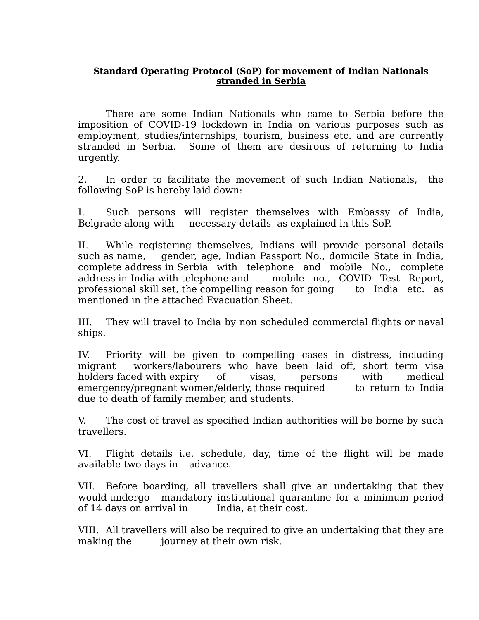## **Standard Operating Protocol (SoP) for movement of Indian Nationals stranded in Serbia**

There are some Indian Nationals who came to Serbia before the imposition of COVID-19 lockdown in India on various purposes such as employment, studies/internships, tourism, business etc. and are currently stranded in Serbia. Some of them are desirous of returning to India urgently.

2. In order to facilitate the movement of such Indian Nationals, the following SoP is hereby laid down:

I. Such persons will register themselves with Embassy of India, Belgrade along with necessary details as explained in this SoP.

II. While registering themselves, Indians will provide personal details such as name, gender, age, Indian Passport No., domicile State in India, complete address in Serbia with telephone and mobile No., complete address in India with telephone and mobile no., COVID Test Report, professional skill set, the compelling reason for going to India etc. as mentioned in the attached Evacuation Sheet.

III. They will travel to India by non scheduled commercial flights or naval ships.

IV. Priority will be given to compelling cases in distress, including migrant workers/labourers who have been laid off, short term visa holders faced with expiry of visas, persons with medical emergency/pregnant women/elderly, those required to return to India due to death of family member, and students.

V. The cost of travel as specified Indian authorities will be borne by such travellers.

VI. Flight details i.e. schedule, day, time of the flight will be made available two days in advance.

VII. Before boarding, all travellers shall give an undertaking that they would undergo mandatory institutional quarantine for a minimum period of 14 days on arrival in India, at their cost.

VIII. All travellers will also be required to give an undertaking that they are making the journey at their own risk.